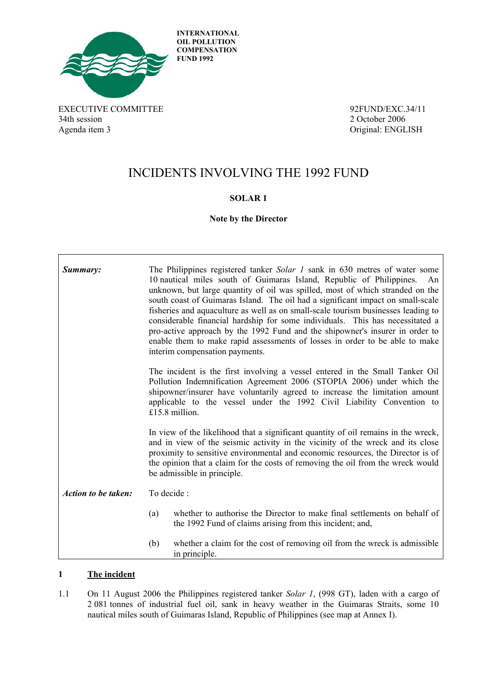

**INTERNATIONAL OIL POLLUTION COMPENSATION FUND 1992**

EXECUTIVE COMMITTEE 34/11 34th session 2 October 2006 Agenda item 3 Original: ENGLISH

 $\Gamma$ 

٦

# INCIDENTS INVOLVING THE 1992 FUND

### **SOLAR 1**

**Note by the Director** 

| Summary:                   |                                                                                                                                                                                                                                                                                                                                                                           | The Philippines registered tanker Solar 1 sank in 630 metres of water some<br>10 nautical miles south of Guimaras Island, Republic of Philippines.<br>An<br>unknown, but large quantity of oil was spilled, most of which stranded on the<br>south coast of Guimaras Island. The oil had a significant impact on small-scale<br>fisheries and aquaculture as well as on small-scale tourism businesses leading to<br>considerable financial hardship for some individuals. This has necessitated a<br>pro-active approach by the 1992 Fund and the shipowner's insurer in order to<br>enable them to make rapid assessments of losses in order to be able to make<br>interim compensation payments. |  |  |
|----------------------------|---------------------------------------------------------------------------------------------------------------------------------------------------------------------------------------------------------------------------------------------------------------------------------------------------------------------------------------------------------------------------|-----------------------------------------------------------------------------------------------------------------------------------------------------------------------------------------------------------------------------------------------------------------------------------------------------------------------------------------------------------------------------------------------------------------------------------------------------------------------------------------------------------------------------------------------------------------------------------------------------------------------------------------------------------------------------------------------------|--|--|
|                            | The incident is the first involving a vessel entered in the Small Tanker Oil<br>Pollution Indemnification Agreement 2006 (STOPIA 2006) under which the<br>shipowner/insurer have voluntarily agreed to increase the limitation amount<br>applicable to the vessel under the 1992 Civil Liability Convention to<br>£15.8 million.                                          |                                                                                                                                                                                                                                                                                                                                                                                                                                                                                                                                                                                                                                                                                                     |  |  |
|                            | In view of the likelihood that a significant quantity of oil remains in the wreck,<br>and in view of the seismic activity in the vicinity of the wreck and its close<br>proximity to sensitive environmental and economic resources, the Director is of<br>the opinion that a claim for the costs of removing the oil from the wreck would<br>be admissible in principle. |                                                                                                                                                                                                                                                                                                                                                                                                                                                                                                                                                                                                                                                                                                     |  |  |
| <b>Action to be taken:</b> | To decide :                                                                                                                                                                                                                                                                                                                                                               |                                                                                                                                                                                                                                                                                                                                                                                                                                                                                                                                                                                                                                                                                                     |  |  |
|                            | (a)                                                                                                                                                                                                                                                                                                                                                                       | whether to authorise the Director to make final settlements on behalf of<br>the 1992 Fund of claims arising from this incident; and,                                                                                                                                                                                                                                                                                                                                                                                                                                                                                                                                                                |  |  |
|                            | (b)                                                                                                                                                                                                                                                                                                                                                                       | whether a claim for the cost of removing oil from the wreck is admissible<br>in principle.                                                                                                                                                                                                                                                                                                                                                                                                                                                                                                                                                                                                          |  |  |

### **1 The incident**

1.1 On 11 August 2006 the Philippines registered tanker *Solar 1*, (998 GT), laden with a cargo of 2 081 tonnes of industrial fuel oil, sank in heavy weather in the Guimaras Straits, some 10 nautical miles south of Guimaras Island, Republic of Philippines (see map at Annex I).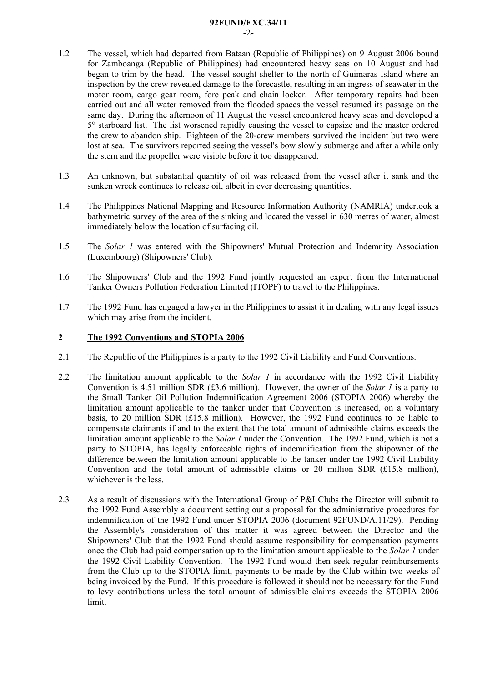#### **92FUND/EXC.34/11**

**-**2**-** 

- 1.2 The vessel, which had departed from Bataan (Republic of Philippines) on 9 August 2006 bound for Zamboanga (Republic of Philippines) had encountered heavy seas on 10 August and had began to trim by the head. The vessel sought shelter to the north of Guimaras Island where an inspection by the crew revealed damage to the forecastle, resulting in an ingress of seawater in the motor room, cargo gear room, fore peak and chain locker. After temporary repairs had been carried out and all water removed from the flooded spaces the vessel resumed its passage on the same day. During the afternoon of 11 August the vessel encountered heavy seas and developed a 5° starboard list. The list worsened rapidly causing the vessel to capsize and the master ordered the crew to abandon ship. Eighteen of the 20-crew members survived the incident but two were lost at sea. The survivors reported seeing the vessel's bow slowly submerge and after a while only the stern and the propeller were visible before it too disappeared.
- 1.3 An unknown, but substantial quantity of oil was released from the vessel after it sank and the sunken wreck continues to release oil, albeit in ever decreasing quantities.
- 1.4 The Philippines National Mapping and Resource Information Authority (NAMRIA) undertook a bathymetric survey of the area of the sinking and located the vessel in 630 metres of water, almost immediately below the location of surfacing oil.
- 1.5 The *Solar 1* was entered with the Shipowners' Mutual Protection and Indemnity Association (Luxembourg) (Shipowners' Club).
- 1.6 The Shipowners' Club and the 1992 Fund jointly requested an expert from the International Tanker Owners Pollution Federation Limited (ITOPF) to travel to the Philippines.
- 1.7 The 1992 Fund has engaged a lawyer in the Philippines to assist it in dealing with any legal issues which may arise from the incident.

### **2 The 1992 Conventions and STOPIA 2006**

- 2.1 The Republic of the Philippines is a party to the 1992 Civil Liability and Fund Conventions.
- 2.2 The limitation amount applicable to the *Solar 1* in accordance with the 1992 Civil Liability Convention is 4.51 million SDR (£3.6 million). However, the owner of the *Solar 1* is a party to the Small Tanker Oil Pollution Indemnification Agreement 2006 (STOPIA 2006) whereby the limitation amount applicable to the tanker under that Convention is increased, on a voluntary basis, to 20 million SDR (£15.8 million). However, the 1992 Fund continues to be liable to compensate claimants if and to the extent that the total amount of admissible claims exceeds the limitation amount applicable to the *Solar 1* under the Convention*.* The 1992 Fund, which is not a party to STOPIA, has legally enforceable rights of indemnification from the shipowner of the difference between the limitation amount applicable to the tanker under the 1992 Civil Liability Convention and the total amount of admissible claims or 20 million SDR  $(E15.8 \text{ million})$ , whichever is the less.
- 2.3 As a result of discussions with the International Group of P&I Clubs the Director will submit to the 1992 Fund Assembly a document setting out a proposal for the administrative procedures for indemnification of the 1992 Fund under STOPIA 2006 (document 92FUND/A.11/29). Pending the Assembly's consideration of this matter it was agreed between the Director and the Shipowners' Club that the 1992 Fund should assume responsibility for compensation payments once the Club had paid compensation up to the limitation amount applicable to the *Solar 1* under the 1992 Civil Liability Convention. The 1992 Fund would then seek regular reimbursements from the Club up to the STOPIA limit, payments to be made by the Club within two weeks of being invoiced by the Fund. If this procedure is followed it should not be necessary for the Fund to levy contributions unless the total amount of admissible claims exceeds the STOPIA 2006 limit.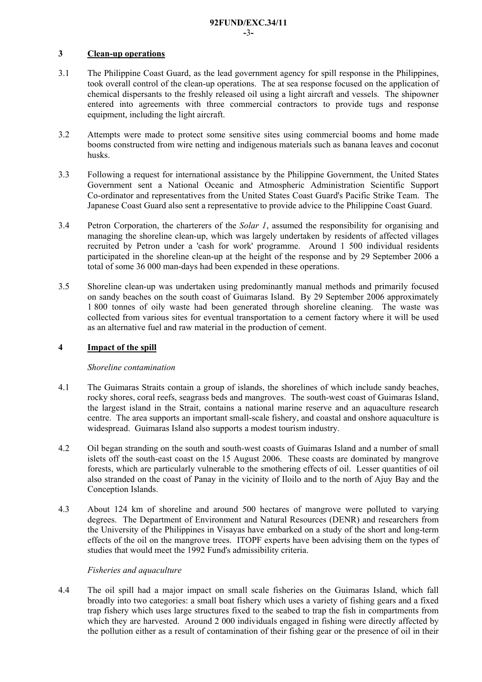### **3 Clean-up operations**

- 3.1 The Philippine Coast Guard, as the lead government agency for spill response in the Philippines, took overall control of the clean-up operations. The at sea response focused on the application of chemical dispersants to the freshly released oil using a light aircraft and vessels. The shipowner entered into agreements with three commercial contractors to provide tugs and response equipment, including the light aircraft.
- 3.2 Attempts were made to protect some sensitive sites using commercial booms and home made booms constructed from wire netting and indigenous materials such as banana leaves and coconut husks.
- 3.3 Following a request for international assistance by the Philippine Government, the United States Government sent a National Oceanic and Atmospheric Administration Scientific Support Co-ordinator and representatives from the United States Coast Guard's Pacific Strike Team. The Japanese Coast Guard also sent a representative to provide advice to the Philippine Coast Guard.
- 3.4 Petron Corporation, the charterers of the *Solar 1*, assumed the responsibility for organising and managing the shoreline clean-up, which was largely undertaken by residents of affected villages recruited by Petron under a 'cash for work' programme. Around 1 500 individual residents participated in the shoreline clean-up at the height of the response and by 29 September 2006 a total of some 36 000 man-days had been expended in these operations.
- 3.5 Shoreline clean-up was undertaken using predominantly manual methods and primarily focused on sandy beaches on the south coast of Guimaras Island. By 29 September 2006 approximately 1 800 tonnes of oily waste had been generated through shoreline cleaning. The waste was collected from various sites for eventual transportation to a cement factory where it will be used as an alternative fuel and raw material in the production of cement.

### **4 Impact of the spill**

#### *Shoreline contamination*

- 4.1 The Guimaras Straits contain a group of islands, the shorelines of which include sandy beaches, rocky shores, coral reefs, seagrass beds and mangroves. The south-west coast of Guimaras Island, the largest island in the Strait, contains a national marine reserve and an aquaculture research centre. The area supports an important small-scale fishery, and coastal and onshore aquaculture is widespread. Guimaras Island also supports a modest tourism industry.
- 4.2 Oil began stranding on the south and south-west coasts of Guimaras Island and a number of small islets off the south-east coast on the 15 August 2006. These coasts are dominated by mangrove forests, which are particularly vulnerable to the smothering effects of oil. Lesser quantities of oil also stranded on the coast of Panay in the vicinity of Iloilo and to the north of Ajuy Bay and the Conception Islands.
- 4.3 About 124 km of shoreline and around 500 hectares of mangrove were polluted to varying degrees. The Department of Environment and Natural Resources (DENR) and researchers from the University of the Philippines in Visayas have embarked on a study of the short and long-term effects of the oil on the mangrove trees. ITOPF experts have been advising them on the types of studies that would meet the 1992 Fund's admissibility criteria.

### *Fisheries and aquaculture*

4.4 The oil spill had a major impact on small scale fisheries on the Guimaras Island, which fall broadly into two categories: a small boat fishery which uses a variety of fishing gears and a fixed trap fishery which uses large structures fixed to the seabed to trap the fish in compartments from which they are harvested. Around 2000 individuals engaged in fishing were directly affected by the pollution either as a result of contamination of their fishing gear or the presence of oil in their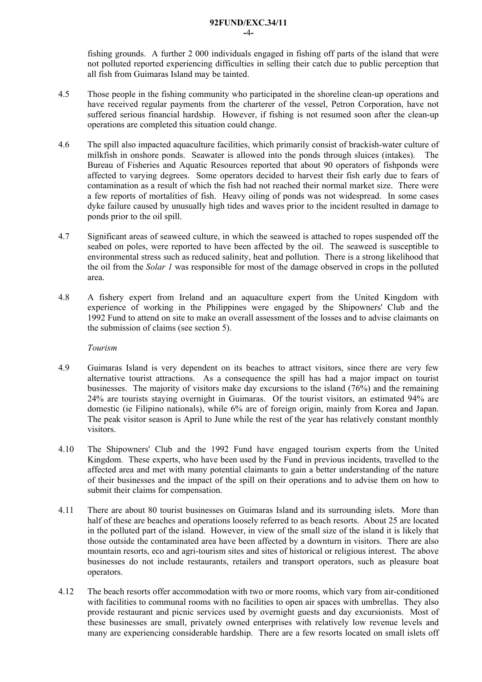fishing grounds. A further 2 000 individuals engaged in fishing off parts of the island that were not polluted reported experiencing difficulties in selling their catch due to public perception that all fish from Guimaras Island may be tainted.

- 4.5 Those people in the fishing community who participated in the shoreline clean-up operations and have received regular payments from the charterer of the vessel, Petron Corporation, have not suffered serious financial hardship. However, if fishing is not resumed soon after the clean-up operations are completed this situation could change.
- 4.6 The spill also impacted aquaculture facilities, which primarily consist of brackish-water culture of milkfish in onshore ponds. Seawater is allowed into the ponds through sluices (intakes). The Bureau of Fisheries and Aquatic Resources reported that about 90 operators of fishponds were affected to varying degrees. Some operators decided to harvest their fish early due to fears of contamination as a result of which the fish had not reached their normal market size. There were a few reports of mortalities of fish. Heavy oiling of ponds was not widespread. In some cases dyke failure caused by unusually high tides and waves prior to the incident resulted in damage to ponds prior to the oil spill.
- 4.7 Significant areas of seaweed culture, in which the seaweed is attached to ropes suspended off the seabed on poles, were reported to have been affected by the oil. The seaweed is susceptible to environmental stress such as reduced salinity, heat and pollution. There is a strong likelihood that the oil from the *Solar 1* was responsible for most of the damage observed in crops in the polluted area.
- 4.8 A fishery expert from Ireland and an aquaculture expert from the United Kingdom with experience of working in the Philippines were engaged by the Shipowners' Club and the 1992 Fund to attend on site to make an overall assessment of the losses and to advise claimants on the submission of claims (see section 5).

*Tourism* 

- 4.9 Guimaras Island is very dependent on its beaches to attract visitors, since there are very few alternative tourist attractions. As a consequence the spill has had a major impact on tourist businesses. The majority of visitors make day excursions to the island (76%) and the remaining 24% are tourists staying overnight in Guimaras. Of the tourist visitors, an estimated 94% are domestic (ie Filipino nationals), while 6% are of foreign origin, mainly from Korea and Japan. The peak visitor season is April to June while the rest of the year has relatively constant monthly visitors.
- 4.10 The Shipowners' Club and the 1992 Fund have engaged tourism experts from the United Kingdom. These experts, who have been used by the Fund in previous incidents, travelled to the affected area and met with many potential claimants to gain a better understanding of the nature of their businesses and the impact of the spill on their operations and to advise them on how to submit their claims for compensation.
- 4.11 There are about 80 tourist businesses on Guimaras Island and its surrounding islets. More than half of these are beaches and operations loosely referred to as beach resorts. About 25 are located in the polluted part of the island. However, in view of the small size of the island it is likely that those outside the contaminated area have been affected by a downturn in visitors. There are also mountain resorts, eco and agri-tourism sites and sites of historical or religious interest. The above businesses do not include restaurants, retailers and transport operators, such as pleasure boat operators.
- 4.12 The beach resorts offer accommodation with two or more rooms, which vary from air-conditioned with facilities to communal rooms with no facilities to open air spaces with umbrellas. They also provide restaurant and picnic services used by overnight guests and day excursionists. Most of these businesses are small, privately owned enterprises with relatively low revenue levels and many are experiencing considerable hardship. There are a few resorts located on small islets off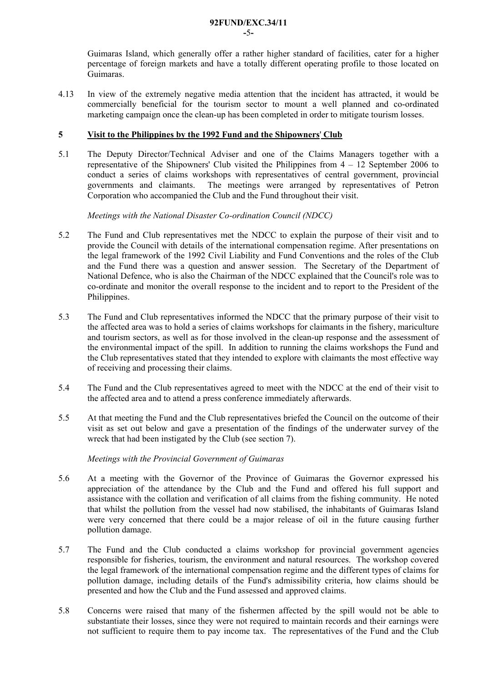Guimaras Island, which generally offer a rather higher standard of facilities, cater for a higher percentage of foreign markets and have a totally different operating profile to those located on Guimaras.

4.13 In view of the extremely negative media attention that the incident has attracted, it would be commercially beneficial for the tourism sector to mount a well planned and co-ordinated marketing campaign once the clean-up has been completed in order to mitigate tourism losses.

#### **5 Visit to the Philippines by the 1992 Fund and the Shipowners**' **Club**

5.1 The Deputy Director/Technical Adviser and one of the Claims Managers together with a representative of the Shipowners' Club visited the Philippines from 4 – 12 September 2006 to conduct a series of claims workshops with representatives of central government, provincial governments and claimants. The meetings were arranged by representatives of Petron Corporation who accompanied the Club and the Fund throughout their visit.

*Meetings with the National Disaster Co-ordination Council (NDCC)* 

- 5.2 The Fund and Club representatives met the NDCC to explain the purpose of their visit and to provide the Council with details of the international compensation regime. After presentations on the legal framework of the 1992 Civil Liability and Fund Conventions and the roles of the Club and the Fund there was a question and answer session. The Secretary of the Department of National Defence, who is also the Chairman of the NDCC explained that the Council's role was to co-ordinate and monitor the overall response to the incident and to report to the President of the Philippines.
- 5.3 The Fund and Club representatives informed the NDCC that the primary purpose of their visit to the affected area was to hold a series of claims workshops for claimants in the fishery, mariculture and tourism sectors, as well as for those involved in the clean-up response and the assessment of the environmental impact of the spill. In addition to running the claims workshops the Fund and the Club representatives stated that they intended to explore with claimants the most effective way of receiving and processing their claims.
- 5.4 The Fund and the Club representatives agreed to meet with the NDCC at the end of their visit to the affected area and to attend a press conference immediately afterwards.
- 5.5 At that meeting the Fund and the Club representatives briefed the Council on the outcome of their visit as set out below and gave a presentation of the findings of the underwater survey of the wreck that had been instigated by the Club (see section 7).

#### *Meetings with the Provincial Government of Guimaras*

- 5.6 At a meeting with the Governor of the Province of Guimaras the Governor expressed his appreciation of the attendance by the Club and the Fund and offered his full support and assistance with the collation and verification of all claims from the fishing community. He noted that whilst the pollution from the vessel had now stabilised, the inhabitants of Guimaras Island were very concerned that there could be a major release of oil in the future causing further pollution damage.
- 5.7 The Fund and the Club conducted a claims workshop for provincial government agencies responsible for fisheries, tourism, the environment and natural resources. The workshop covered the legal framework of the international compensation regime and the different types of claims for pollution damage, including details of the Fund's admissibility criteria, how claims should be presented and how the Club and the Fund assessed and approved claims.
- 5.8 Concerns were raised that many of the fishermen affected by the spill would not be able to substantiate their losses, since they were not required to maintain records and their earnings were not sufficient to require them to pay income tax. The representatives of the Fund and the Club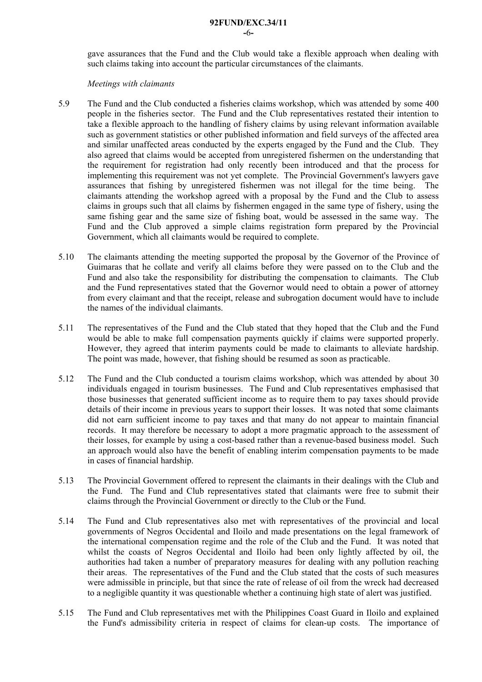gave assurances that the Fund and the Club would take a flexible approach when dealing with such claims taking into account the particular circumstances of the claimants.

#### *Meetings with claimants*

- 5.9 The Fund and the Club conducted a fisheries claims workshop, which was attended by some 400 people in the fisheries sector. The Fund and the Club representatives restated their intention to take a flexible approach to the handling of fishery claims by using relevant information available such as government statistics or other published information and field surveys of the affected area and similar unaffected areas conducted by the experts engaged by the Fund and the Club. They also agreed that claims would be accepted from unregistered fishermen on the understanding that the requirement for registration had only recently been introduced and that the process for implementing this requirement was not yet complete. The Provincial Government's lawyers gave assurances that fishing by unregistered fishermen was not illegal for the time being. The claimants attending the workshop agreed with a proposal by the Fund and the Club to assess claims in groups such that all claims by fishermen engaged in the same type of fishery, using the same fishing gear and the same size of fishing boat, would be assessed in the same way. The Fund and the Club approved a simple claims registration form prepared by the Provincial Government, which all claimants would be required to complete.
- 5.10 The claimants attending the meeting supported the proposal by the Governor of the Province of Guimaras that he collate and verify all claims before they were passed on to the Club and the Fund and also take the responsibility for distributing the compensation to claimants. The Club and the Fund representatives stated that the Governor would need to obtain a power of attorney from every claimant and that the receipt, release and subrogation document would have to include the names of the individual claimants.
- 5.11 The representatives of the Fund and the Club stated that they hoped that the Club and the Fund would be able to make full compensation payments quickly if claims were supported properly. However, they agreed that interim payments could be made to claimants to alleviate hardship. The point was made, however, that fishing should be resumed as soon as practicable.
- 5.12 The Fund and the Club conducted a tourism claims workshop, which was attended by about 30 individuals engaged in tourism businesses. The Fund and Club representatives emphasised that those businesses that generated sufficient income as to require them to pay taxes should provide details of their income in previous years to support their losses. It was noted that some claimants did not earn sufficient income to pay taxes and that many do not appear to maintain financial records. It may therefore be necessary to adopt a more pragmatic approach to the assessment of their losses, for example by using a cost-based rather than a revenue-based business model. Such an approach would also have the benefit of enabling interim compensation payments to be made in cases of financial hardship.
- 5.13 The Provincial Government offered to represent the claimants in their dealings with the Club and the Fund. The Fund and Club representatives stated that claimants were free to submit their claims through the Provincial Government or directly to the Club or the Fund.
- 5.14 The Fund and Club representatives also met with representatives of the provincial and local governments of Negros Occidental and Iloilo and made presentations on the legal framework of the international compensation regime and the role of the Club and the Fund. It was noted that whilst the coasts of Negros Occidental and Iloilo had been only lightly affected by oil, the authorities had taken a number of preparatory measures for dealing with any pollution reaching their areas. The representatives of the Fund and the Club stated that the costs of such measures were admissible in principle, but that since the rate of release of oil from the wreck had decreased to a negligible quantity it was questionable whether a continuing high state of alert was justified.
- 5.15 The Fund and Club representatives met with the Philippines Coast Guard in Iloilo and explained the Fund's admissibility criteria in respect of claims for clean-up costs. The importance of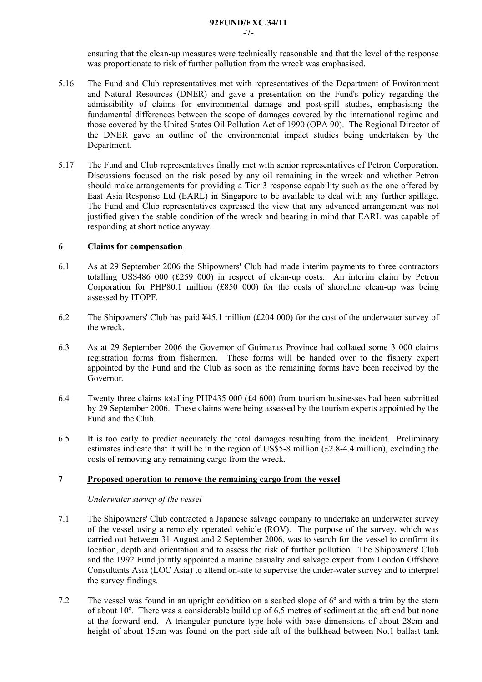**-**7**-** 

ensuring that the clean-up measures were technically reasonable and that the level of the response was proportionate to risk of further pollution from the wreck was emphasised.

- 5.16 The Fund and Club representatives met with representatives of the Department of Environment and Natural Resources (DNER) and gave a presentation on the Fund's policy regarding the admissibility of claims for environmental damage and post-spill studies, emphasising the fundamental differences between the scope of damages covered by the international regime and those covered by the United States Oil Pollution Act of 1990 (OPA 90). The Regional Director of the DNER gave an outline of the environmental impact studies being undertaken by the Department.
- 5.17 The Fund and Club representatives finally met with senior representatives of Petron Corporation. Discussions focused on the risk posed by any oil remaining in the wreck and whether Petron should make arrangements for providing a Tier 3 response capability such as the one offered by East Asia Response Ltd (EARL) in Singapore to be available to deal with any further spillage. The Fund and Club representatives expressed the view that any advanced arrangement was not justified given the stable condition of the wreck and bearing in mind that EARL was capable of responding at short notice anyway.

### **6 Claims for compensation**

- 6.1 As at 29 September 2006 the Shipowners' Club had made interim payments to three contractors totalling US\$486 000 (£259 000) in respect of clean-up costs. An interim claim by Petron Corporation for PHP80.1 million (£850 000) for the costs of shoreline clean-up was being assessed by ITOPF.
- 6.2 The Shipowners' Club has paid ¥45.1 million (£204 000) for the cost of the underwater survey of the wreck.
- 6.3 As at 29 September 2006 the Governor of Guimaras Province had collated some 3 000 claims registration forms from fishermen. These forms will be handed over to the fishery expert appointed by the Fund and the Club as soon as the remaining forms have been received by the Governor.
- 6.4 Twenty three claims totalling PHP435 000 (£4 600) from tourism businesses had been submitted by 29 September 2006. These claims were being assessed by the tourism experts appointed by the Fund and the Club.
- 6.5 It is too early to predict accurately the total damages resulting from the incident. Preliminary estimates indicate that it will be in the region of US\$5-8 million  $(f2.8-4.4$  million), excluding the costs of removing any remaining cargo from the wreck.

### **7 Proposed operation to remove the remaining cargo from the vessel**

#### *Underwater survey of the vessel*

- 7.1 The Shipowners' Club contracted a Japanese salvage company to undertake an underwater survey of the vessel using a remotely operated vehicle (ROV). The purpose of the survey, which was carried out between 31 August and 2 September 2006, was to search for the vessel to confirm its location, depth and orientation and to assess the risk of further pollution. The Shipowners' Club and the 1992 Fund jointly appointed a marine casualty and salvage expert from London Offshore Consultants Asia (LOC Asia) to attend on-site to supervise the under-water survey and to interpret the survey findings.
- 7.2 The vessel was found in an upright condition on a seabed slope of 6º and with a trim by the stern of about 10º. There was a considerable build up of 6.5 metres of sediment at the aft end but none at the forward end. A triangular puncture type hole with base dimensions of about 28cm and height of about 15cm was found on the port side aft of the bulkhead between No.1 ballast tank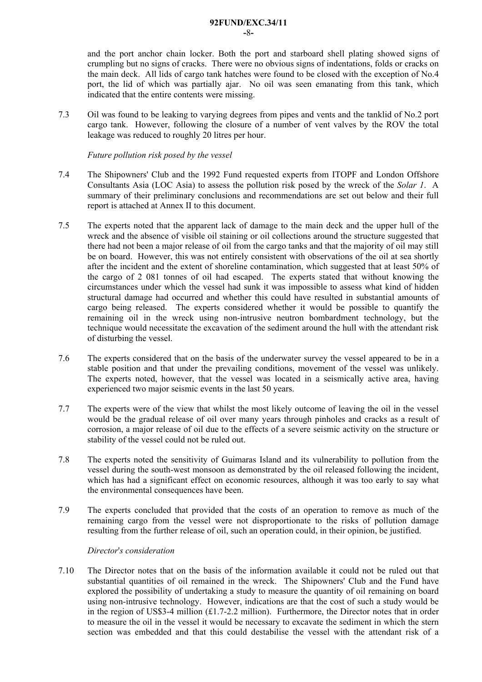and the port anchor chain locker. Both the port and starboard shell plating showed signs of crumpling but no signs of cracks. There were no obvious signs of indentations, folds or cracks on the main deck. All lids of cargo tank hatches were found to be closed with the exception of No.4 port, the lid of which was partially ajar. No oil was seen emanating from this tank, which indicated that the entire contents were missing.

7.3 Oil was found to be leaking to varying degrees from pipes and vents and the tanklid of No.2 port cargo tank. However, following the closure of a number of vent valves by the ROV the total leakage was reduced to roughly 20 litres per hour.

*Future pollution risk posed by the vessel* 

- 7.4 The Shipowners' Club and the 1992 Fund requested experts from ITOPF and London Offshore Consultants Asia (LOC Asia) to assess the pollution risk posed by the wreck of the *Solar 1*. A summary of their preliminary conclusions and recommendations are set out below and their full report is attached at Annex II to this document.
- 7.5 The experts noted that the apparent lack of damage to the main deck and the upper hull of the wreck and the absence of visible oil staining or oil collections around the structure suggested that there had not been a major release of oil from the cargo tanks and that the majority of oil may still be on board. However, this was not entirely consistent with observations of the oil at sea shortly after the incident and the extent of shoreline contamination, which suggested that at least 50% of the cargo of 2 081 tonnes of oil had escaped. The experts stated that without knowing the circumstances under which the vessel had sunk it was impossible to assess what kind of hidden structural damage had occurred and whether this could have resulted in substantial amounts of cargo being released. The experts considered whether it would be possible to quantify the remaining oil in the wreck using non-intrusive neutron bombardment technology, but the technique would necessitate the excavation of the sediment around the hull with the attendant risk of disturbing the vessel.
- 7.6 The experts considered that on the basis of the underwater survey the vessel appeared to be in a stable position and that under the prevailing conditions, movement of the vessel was unlikely. The experts noted, however, that the vessel was located in a seismically active area, having experienced two major seismic events in the last 50 years.
- 7.7 The experts were of the view that whilst the most likely outcome of leaving the oil in the vessel would be the gradual release of oil over many years through pinholes and cracks as a result of corrosion, a major release of oil due to the effects of a severe seismic activity on the structure or stability of the vessel could not be ruled out.
- 7.8 The experts noted the sensitivity of Guimaras Island and its vulnerability to pollution from the vessel during the south-west monsoon as demonstrated by the oil released following the incident, which has had a significant effect on economic resources, although it was too early to say what the environmental consequences have been.
- 7.9 The experts concluded that provided that the costs of an operation to remove as much of the remaining cargo from the vessel were not disproportionate to the risks of pollution damage resulting from the further release of oil, such an operation could, in their opinion, be justified.

#### *Director*'*s consideration*

7.10 The Director notes that on the basis of the information available it could not be ruled out that substantial quantities of oil remained in the wreck. The Shipowners' Club and the Fund have explored the possibility of undertaking a study to measure the quantity of oil remaining on board using non-intrusive technology. However, indications are that the cost of such a study would be in the region of US\$3-4 million  $(E1.7-2.2 \text{ million})$ . Furthermore, the Director notes that in order to measure the oil in the vessel it would be necessary to excavate the sediment in which the stern section was embedded and that this could destabilise the vessel with the attendant risk of a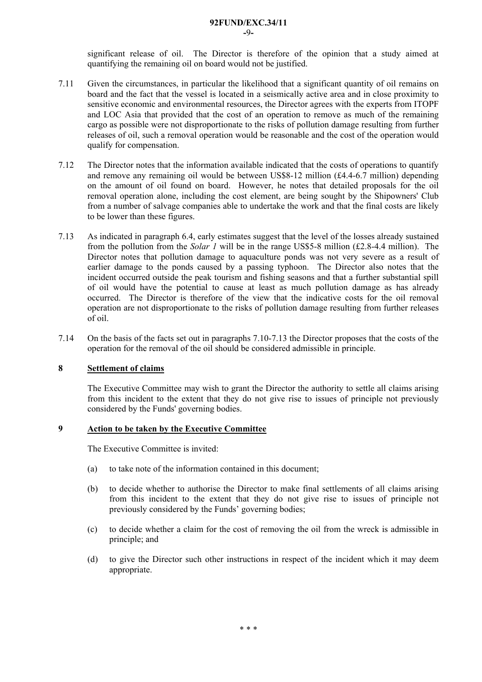**-**9**-** 

significant release of oil. The Director is therefore of the opinion that a study aimed at quantifying the remaining oil on board would not be justified.

- 7.11 Given the circumstances, in particular the likelihood that a significant quantity of oil remains on board and the fact that the vessel is located in a seismically active area and in close proximity to sensitive economic and environmental resources, the Director agrees with the experts from ITOPF and LOC Asia that provided that the cost of an operation to remove as much of the remaining cargo as possible were not disproportionate to the risks of pollution damage resulting from further releases of oil, such a removal operation would be reasonable and the cost of the operation would qualify for compensation.
- 7.12 The Director notes that the information available indicated that the costs of operations to quantify and remove any remaining oil would be between US\$8-12 million (£4.4-6.7 million) depending on the amount of oil found on board. However, he notes that detailed proposals for the oil removal operation alone, including the cost element, are being sought by the Shipowners' Club from a number of salvage companies able to undertake the work and that the final costs are likely to be lower than these figures.
- 7.13 As indicated in paragraph 6.4, early estimates suggest that the level of the losses already sustained from the pollution from the *Solar 1* will be in the range US\$5-8 million (£2.8-4.4 million). The Director notes that pollution damage to aquaculture ponds was not very severe as a result of earlier damage to the ponds caused by a passing typhoon. The Director also notes that the incident occurred outside the peak tourism and fishing seasons and that a further substantial spill of oil would have the potential to cause at least as much pollution damage as has already occurred. The Director is therefore of the view that the indicative costs for the oil removal operation are not disproportionate to the risks of pollution damage resulting from further releases of oil.
- 7.14 On the basis of the facts set out in paragraphs 7.10-7.13 the Director proposes that the costs of the operation for the removal of the oil should be considered admissible in principle.

#### **8 Settlement of claims**

The Executive Committee may wish to grant the Director the authority to settle all claims arising from this incident to the extent that they do not give rise to issues of principle not previously considered by the Funds' governing bodies.

#### **9 Action to be taken by the Executive Committee**

The Executive Committee is invited:

- (a) to take note of the information contained in this document;
- (b) to decide whether to authorise the Director to make final settlements of all claims arising from this incident to the extent that they do not give rise to issues of principle not previously considered by the Funds' governing bodies;
- (c) to decide whether a claim for the cost of removing the oil from the wreck is admissible in principle; and
- (d) to give the Director such other instructions in respect of the incident which it may deem appropriate.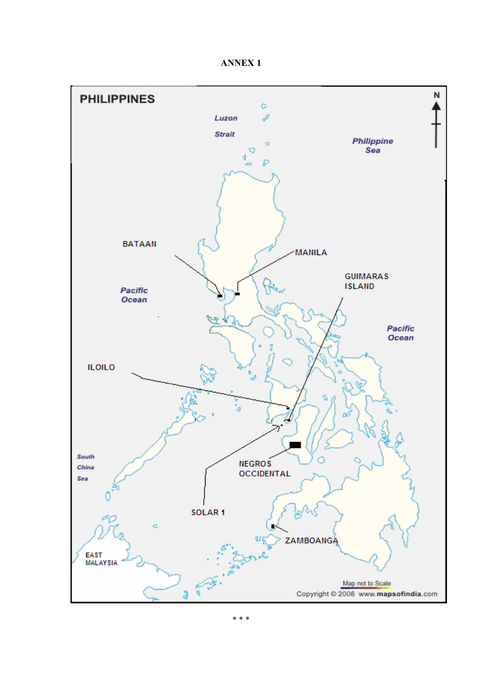**ANNEX 1** 

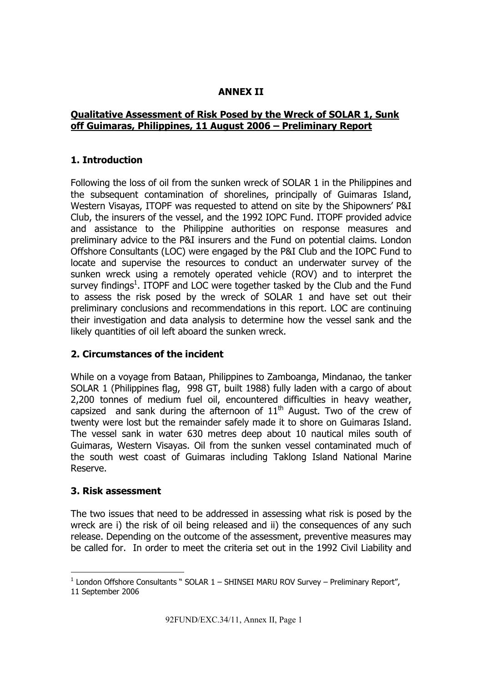# **ANNEX II**

# **Qualitative Assessment of Risk Posed by the Wreck of SOLAR 1, Sunk off Guimaras, Philippines, 11 August 2006 – Preliminary Report**

# **1. Introduction**

Following the loss of oil from the sunken wreck of SOLAR 1 in the Philippines and the subsequent contamination of shorelines, principally of Guimaras Island, Western Visayas, ITOPF was requested to attend on site by the Shipowners' P&I Club, the insurers of the vessel, and the 1992 IOPC Fund. ITOPF provided advice and assistance to the Philippine authorities on response measures and preliminary advice to the P&I insurers and the Fund on potential claims. London Offshore Consultants (LOC) were engaged by the P&I Club and the IOPC Fund to locate and supervise the resources to conduct an underwater survey of the sunken wreck using a remotely operated vehicle (ROV) and to interpret the survey findings<sup>1</sup>. ITOPF and LOC were together tasked by the Club and the Fund to assess the risk posed by the wreck of SOLAR 1 and have set out their preliminary conclusions and recommendations in this report. LOC are continuing their investigation and data analysis to determine how the vessel sank and the likely quantities of oil left aboard the sunken wreck.

# **2. Circumstances of the incident**

While on a voyage from Bataan, Philippines to Zamboanga, Mindanao, the tanker SOLAR 1 (Philippines flag, 998 GT, built 1988) fully laden with a cargo of about 2,200 tonnes of medium fuel oil, encountered difficulties in heavy weather, capsized and sank during the afternoon of  $11<sup>th</sup>$  August. Two of the crew of twenty were lost but the remainder safely made it to shore on Guimaras Island. The vessel sank in water 630 metres deep about 10 nautical miles south of Guimaras, Western Visayas. Oil from the sunken vessel contaminated much of the south west coast of Guimaras including Taklong Island National Marine Reserve.

# **3. Risk assessment**

The two issues that need to be addressed in assessing what risk is posed by the wreck are i) the risk of oil being released and ii) the consequences of any such release. Depending on the outcome of the assessment, preventive measures may be called for. In order to meet the criteria set out in the 1992 Civil Liability and

j  $1$  London Offshore Consultants " SOLAR  $1$  – SHINSEI MARU ROV Survey – Preliminary Report", 11 September 2006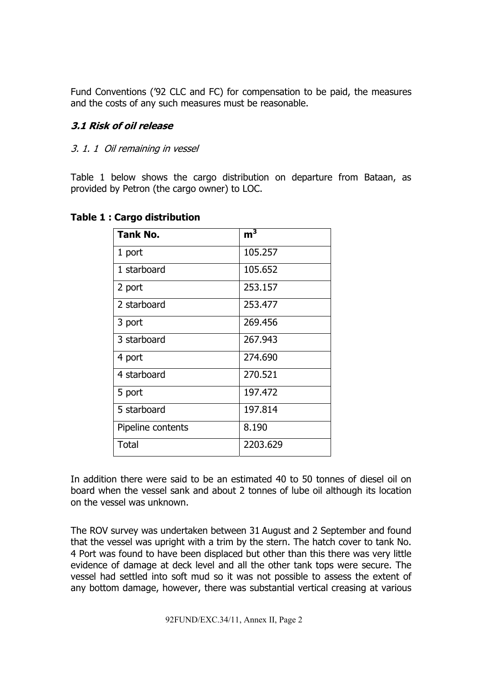Fund Conventions ('92 CLC and FC) for compensation to be paid, the measures and the costs of any such measures must be reasonable.

# **3.1 Risk of oil release**

## 3. 1. 1 Oil remaining in vessel

Table 1 below shows the cargo distribution on departure from Bataan, as provided by Petron (the cargo owner) to LOC.

| <b>Tank No.</b>   | m <sup>3</sup> |
|-------------------|----------------|
| 1 port            | 105.257        |
| 1 starboard       | 105.652        |
| 2 port            | 253.157        |
| 2 starboard       | 253.477        |
| 3 port            | 269.456        |
| 3 starboard       | 267.943        |
| 4 port            | 274.690        |
| 4 starboard       | 270.521        |
| 5 port            | 197.472        |
| 5 starboard       | 197.814        |
| Pipeline contents | 8.190          |
| <b>Total</b>      | 2203.629       |

### **Table 1 : Cargo distribution**

In addition there were said to be an estimated 40 to 50 tonnes of diesel oil on board when the vessel sank and about 2 tonnes of lube oil although its location on the vessel was unknown.

The ROV survey was undertaken between 31 August and 2 September and found that the vessel was upright with a trim by the stern. The hatch cover to tank No. 4 Port was found to have been displaced but other than this there was very little evidence of damage at deck level and all the other tank tops were secure. The vessel had settled into soft mud so it was not possible to assess the extent of any bottom damage, however, there was substantial vertical creasing at various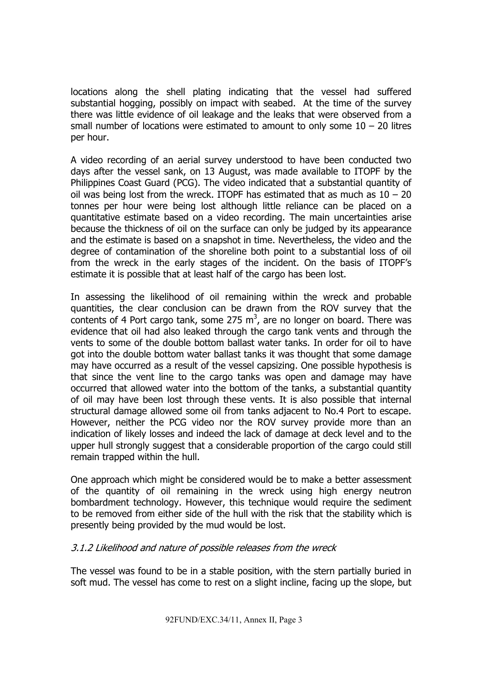locations along the shell plating indicating that the vessel had suffered substantial hogging, possibly on impact with seabed. At the time of the survey there was little evidence of oil leakage and the leaks that were observed from a small number of locations were estimated to amount to only some  $10 - 20$  litres per hour.

A video recording of an aerial survey understood to have been conducted two days after the vessel sank, on 13 August, was made available to ITOPF by the Philippines Coast Guard (PCG). The video indicated that a substantial quantity of oil was being lost from the wreck. ITOPF has estimated that as much as  $10 - 20$ tonnes per hour were being lost although little reliance can be placed on a quantitative estimate based on a video recording. The main uncertainties arise because the thickness of oil on the surface can only be judged by its appearance and the estimate is based on a snapshot in time. Nevertheless, the video and the degree of contamination of the shoreline both point to a substantial loss of oil from the wreck in the early stages of the incident. On the basis of ITOPF's estimate it is possible that at least half of the cargo has been lost.

In assessing the likelihood of oil remaining within the wreck and probable quantities, the clear conclusion can be drawn from the ROV survey that the contents of 4 Port cargo tank, some 275  $m<sup>3</sup>$ , are no longer on board. There was evidence that oil had also leaked through the cargo tank vents and through the vents to some of the double bottom ballast water tanks. In order for oil to have got into the double bottom water ballast tanks it was thought that some damage may have occurred as a result of the vessel capsizing. One possible hypothesis is that since the vent line to the cargo tanks was open and damage may have occurred that allowed water into the bottom of the tanks, a substantial quantity of oil may have been lost through these vents. It is also possible that internal structural damage allowed some oil from tanks adjacent to No.4 Port to escape. However, neither the PCG video nor the ROV survey provide more than an indication of likely losses and indeed the lack of damage at deck level and to the upper hull strongly suggest that a considerable proportion of the cargo could still remain trapped within the hull.

One approach which might be considered would be to make a better assessment of the quantity of oil remaining in the wreck using high energy neutron bombardment technology. However, this technique would require the sediment to be removed from either side of the hull with the risk that the stability which is presently being provided by the mud would be lost.

### 3.1.2 Likelihood and nature of possible releases from the wreck

The vessel was found to be in a stable position, with the stern partially buried in soft mud. The vessel has come to rest on a slight incline, facing up the slope, but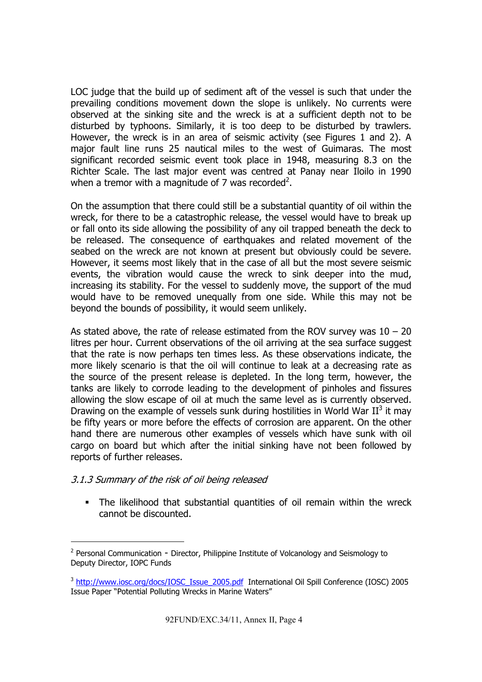LOC judge that the build up of sediment aft of the vessel is such that under the prevailing conditions movement down the slope is unlikely. No currents were observed at the sinking site and the wreck is at a sufficient depth not to be disturbed by typhoons. Similarly, it is too deep to be disturbed by trawlers. However, the wreck is in an area of seismic activity (see Figures 1 and 2). A major fault line runs 25 nautical miles to the west of Guimaras. The most significant recorded seismic event took place in 1948, measuring 8.3 on the Richter Scale. The last major event was centred at Panay near Iloilo in 1990 when a tremor with a magnitude of 7 was recorded<sup>2</sup>.

On the assumption that there could still be a substantial quantity of oil within the wreck, for there to be a catastrophic release, the vessel would have to break up or fall onto its side allowing the possibility of any oil trapped beneath the deck to be released. The consequence of earthquakes and related movement of the seabed on the wreck are not known at present but obviously could be severe. However, it seems most likely that in the case of all but the most severe seismic events, the vibration would cause the wreck to sink deeper into the mud, increasing its stability. For the vessel to suddenly move, the support of the mud would have to be removed unequally from one side. While this may not be beyond the bounds of possibility, it would seem unlikely.

As stated above, the rate of release estimated from the ROV survey was  $10 - 20$ litres per hour. Current observations of the oil arriving at the sea surface suggest that the rate is now perhaps ten times less. As these observations indicate, the more likely scenario is that the oil will continue to leak at a decreasing rate as the source of the present release is depleted. In the long term, however, the tanks are likely to corrode leading to the development of pinholes and fissures allowing the slow escape of oil at much the same level as is currently observed. Drawing on the example of vessels sunk during hostilities in World War  $II^3$  it may be fifty years or more before the effects of corrosion are apparent. On the other hand there are numerous other examples of vessels which have sunk with oil cargo on board but which after the initial sinking have not been followed by reports of further releases.

### 3.1.3 Summary of the risk of oil being released

-

 The likelihood that substantial quantities of oil remain within the wreck cannot be discounted.

<sup>&</sup>lt;sup>2</sup> Personal Communication - Director, Philippine Institute of Volcanology and Seismology to Deputy Director, IOPC Funds

<sup>&</sup>lt;sup>3</sup> http://www.iosc.org/docs/IOSC\_Issue\_2005.pdf International Oil Spill Conference (IOSC) 2005 Issue Paper "Potential Polluting Wrecks in Marine Waters"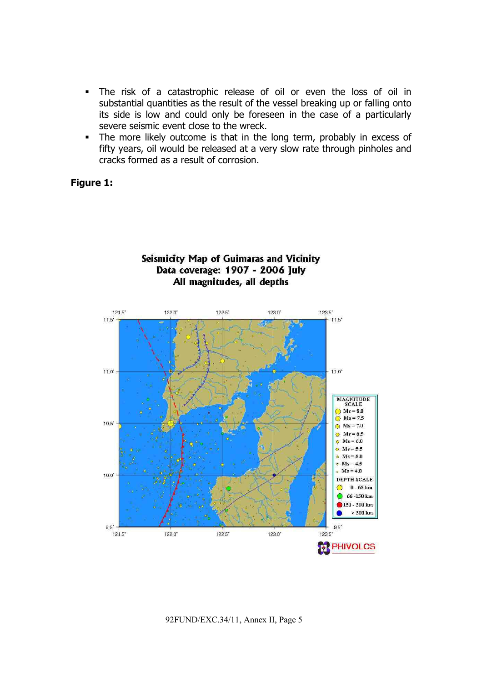- The risk of a catastrophic release of oil or even the loss of oil in substantial quantities as the result of the vessel breaking up or falling onto its side is low and could only be foreseen in the case of a particularly severe seismic event close to the wreck.
- The more likely outcome is that in the long term, probably in excess of fifty years, oil would be released at a very slow rate through pinholes and cracks formed as a result of corrosion.

### **Figure 1:**

## Seismicity Map of Guimaras and Vicinity Data coverage: 1907 - 2006 July All magnitudes, all depths

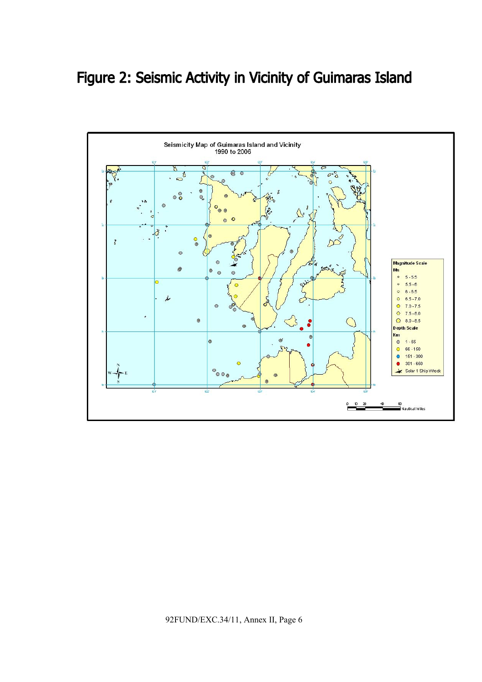# Figure 2: Seismic Activity in Vicinity of Guimaras Island

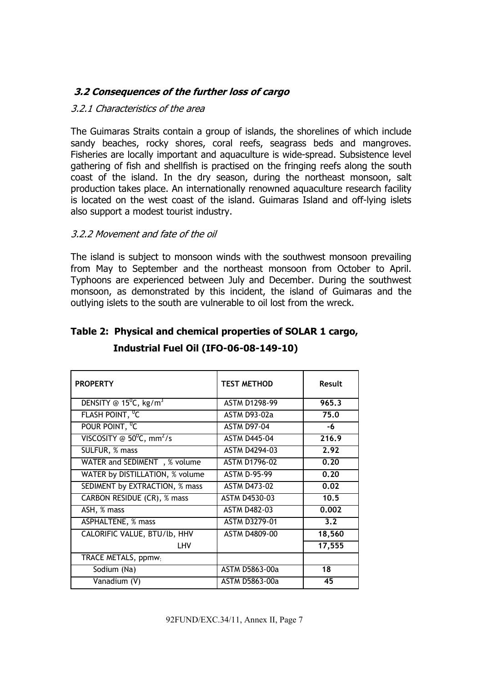# **3.2 Consequences of the further loss of cargo**

### 3.2.1 Characteristics of the area

The Guimaras Straits contain a group of islands, the shorelines of which include sandy beaches, rocky shores, coral reefs, seagrass beds and mangroves. Fisheries are locally important and aquaculture is wide-spread. Subsistence level gathering of fish and shellfish is practised on the fringing reefs along the south coast of the island. In the dry season, during the northeast monsoon, salt production takes place. An internationally renowned aquaculture research facility is located on the west coast of the island. Guimaras Island and off-lying islets also support a modest tourist industry.

### 3.2.2 Movement and fate of the oil

The island is subject to monsoon winds with the southwest monsoon prevailing from May to September and the northeast monsoon from October to April. Typhoons are experienced between July and December. During the southwest monsoon, as demonstrated by this incident, the island of Guimaras and the outlying islets to the south are vulnerable to oil lost from the wreck.

| <b>PROPERTY</b>                                | <b>TEST METHOD</b>   | Result |
|------------------------------------------------|----------------------|--------|
| DENSITY @ $15^{\circ}$ C, kg/m <sup>3</sup>    | <b>ASTM D1298-99</b> | 965.3  |
| FLASH POINT, <sup>0</sup> C                    | <b>ASTM D93-02a</b>  | 75.0   |
| POUR POINT, <sup>0</sup> C                     | <b>ASTM D97-04</b>   | -6     |
| VISCOSITY @ $50^{\circ}$ C, mm <sup>2</sup> /s | <b>ASTM D445-04</b>  | 216.9  |
| SULFUR, % mass                                 | <b>ASTM D4294-03</b> | 2.92   |
| WATER and SEDIMENT, % volume                   | <b>ASTM D1796-02</b> | 0.20   |
| WATER by DISTILLATION, % volume                | <b>ASTM D-95-99</b>  | 0.20   |
| SEDIMENT by EXTRACTION, % mass                 | <b>ASTM D473-02</b>  | 0.02   |
| CARBON RESIDUE (CR), % mass                    | ASTM D4530-03        | 10.5   |
| ASH, % mass                                    | <b>ASTM D482-03</b>  | 0.002  |
| ASPHALTENE, % mass                             | <b>ASTM D3279-01</b> | 3.2    |
| CALORIFIC VALUE, BTU/lb, HHV                   | ASTM D4809-00        | 18,560 |
| LHV                                            |                      | 17,555 |
| TRACE METALS, ppmw.                            |                      |        |
| Sodium (Na)                                    | ASTM D5863-00a       | 18     |
| Vanadium (V)                                   | ASTM D5863-00a       | 45     |

# **Table 2: Physical and chemical properties of SOLAR 1 cargo,**

 **Industrial Fuel Oil (IFO-06-08-149-10)**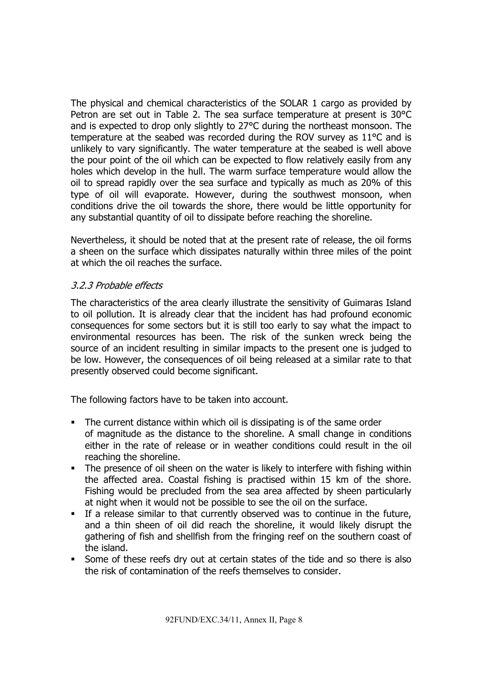The physical and chemical characteristics of the SOLAR 1 cargo as provided by Petron are set out in Table 2. The sea surface temperature at present is 30°C and is expected to drop only slightly to 27°C during the northeast monsoon. The temperature at the seabed was recorded during the ROV survey as 11°C and is unlikely to vary significantly. The water temperature at the seabed is well above the pour point of the oil which can be expected to flow relatively easily from any holes which develop in the hull. The warm surface temperature would allow the oil to spread rapidly over the sea surface and typically as much as 20% of this type of oil will evaporate. However, during the southwest monsoon, when conditions drive the oil towards the shore, there would be little opportunity for any substantial quantity of oil to dissipate before reaching the shoreline.

Nevertheless, it should be noted that at the present rate of release, the oil forms a sheen on the surface which dissipates naturally within three miles of the point at which the oil reaches the surface.

# 3.2.3 Probable effects

The characteristics of the area clearly illustrate the sensitivity of Guimaras Island to oil pollution. It is already clear that the incident has had profound economic consequences for some sectors but it is still too early to say what the impact to environmental resources has been. The risk of the sunken wreck being the source of an incident resulting in similar impacts to the present one is judged to be low. However, the consequences of oil being released at a similar rate to that presently observed could become significant.

The following factors have to be taken into account.

- The current distance within which oil is dissipating is of the same order of magnitude as the distance to the shoreline. A small change in conditions either in the rate of release or in weather conditions could result in the oil reaching the shoreline.
- The presence of oil sheen on the water is likely to interfere with fishing within the affected area. Coastal fishing is practised within 15 km of the shore. Fishing would be precluded from the sea area affected by sheen particularly at night when it would not be possible to see the oil on the surface.
- If a release similar to that currently observed was to continue in the future, and a thin sheen of oil did reach the shoreline, it would likely disrupt the gathering of fish and shellfish from the fringing reef on the southern coast of the island.
- Some of these reefs dry out at certain states of the tide and so there is also the risk of contamination of the reefs themselves to consider.